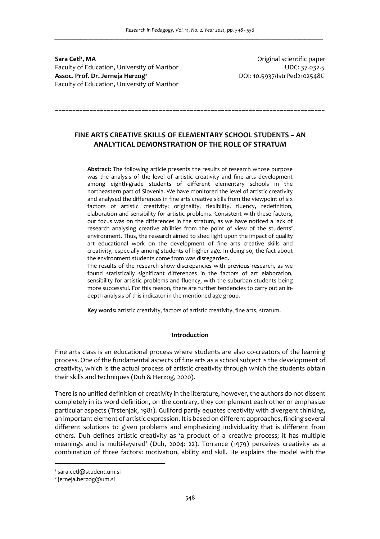**Sara Cetl<sup>1</sup>** Faculty of Education, University of Maribor UDC: 37.032.5 **Assoc. Prof. Dr. Jerneja Herzog<sup>2</sup>** Faculty of Education, University of Maribor

**, MA** Original scientific paper DOI: 10.5937/IstrPed2102548C

==============================================================================

# **FINE ARTS CREATIVE SKILLS OF ELEMENTARY SCHOOL STUDENTS – AN ANALYTICAL DEMONSTRATION OF THE ROLE OF STRATUM**

**Abstract**: The following article presents the results of research whose purpose was the analysis of the level of artistic creativity and fine arts development among eighth-grade students of different elementary schools in the northeastern part of Slovenia. We have monitored the level of artistic creativity and analysed the differences in fine arts creative skills from the viewpoint of six factors of artistic creativity: originality, flexibility, fluency, redefinition, elaboration and sensibility for artistic problems. Consistent with these factors, our focus was on the differences in the stratum, as we have noticed a lack of research analysing creative abilities from the point of view of the students' environment. Thus, the research aimed to shed light upon the impact of quality art educational work on the development of fine arts creative skills and creativity, especially among students of higher age. In doing so, the fact about the environment students come from was disregarded.

The results of the research show discrepancies with previous research, as we found statistically significant differences in the factors of art elaboration, sensibility for artistic problems and fluency, with the suburban students being more successful. For this reason, there are further tendencies to carry out an indepth analysis of this indicator in the mentioned age group.

**Key words:** artistic creativity, factors of artistic creativity, fine arts, stratum.

## **Introduction**

Fine arts class is an educational process where students are also co-creators of the learning process. One of the fundamental aspects of fine arts as a school subject is the development of creativity, which is the actual process of artistic creativity through which the students obtain their skills and techniques (Duh & Herzog, 2020).

There is no unified definition of creativity in the literature, however, the authors do not dissent completely in its word definition, on the contrary, they complement each other or emphasize particular aspects (Trstenjak, 1981). Guilford partly equates creativity with divergent thinking, an important element of artistic expression. It is based on different approaches, finding several different solutions to given problems and emphasizing individuality that is different from others. Duh defines artistic creativity as 'a product of a creative process; it has multiple meanings and is multi-layered' (Duh, 2004: 22). Torrance (1979) perceives creativity as a combination of three factors: motivation, ability and skill. He explains the model with the

<sup>1</sup> sara.cetl@student.um.si

<sup>2</sup> jerneja.herzog@um.si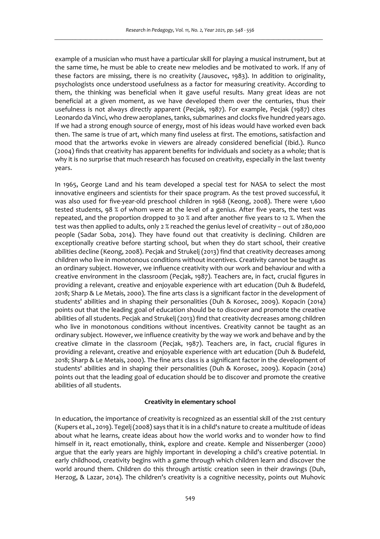example of a musician who must have a particular skill for playing a musical instrument, but at the same time, he must be able to create new melodies and be motivated to work. If any of these factors are missing, there is no creativity (Jausovec, 1983). In addition to originality, psychologists once understood usefulness as a factor for measuring creativity. According to them, the thinking was beneficial when it gave useful results. Many great ideas are not beneficial at a given moment, as we have developed them over the centuries, thus their usefulness is not always directly apparent (Pecjak, 1987). For example, Pecjak (1987) cites Leonardo da Vinci, who drew aeroplanes, tanks, submarines and clocks five hundred years ago. If we had a strong enough source of energy, most of his ideas would have worked even back then. The same is true of art, which many find useless at first. The emotions, satisfaction and mood that the artworks evoke in viewers are already considered beneficial (Ibid.). Runco (2004) finds that creativity has apparent benefits for individuals and society as a whole; that is why it is no surprise that much research has focused on creativity, especially in the last twenty years.

In 1965, George Land and his team developed a special test for NASA to select the most innovative engineers and scientists for their space program. As the test proved successful, it was also used for five-year-old preschool children in 1968 (Keong, 2008). There were 1,600 tested students, 98 % of whom were at the level of a genius. After five years, the test was repeated, and the proportion dropped to 30 % and after another five years to 12 %. When the test was then applied to adults, only 2 % reached the genius level of creativity – out of 280,000 people (Sadar Soba, 2014). They have found out that creativity is declining. Children are exceptionally creative before starting school, but when they do start school, their creative abilities decline (Keong, 2008). Pecjak and Strukelj (2013) find that creativity decreases among children who live in monotonous conditions without incentives. Creativity cannot be taught as an ordinary subject. However, we influence creativity with our work and behaviour and with a creative environment in the classroom (Pecjak, 1987). Teachers are, in fact, crucial figures in providing a relevant, creative and enjoyable experience with art education (Duh & Budefeld, 2018; Sharp & Le Metais, 2000). The fine arts class is a significant factor in the development of students' abilities and in shaping their personalities (Duh & Korosec, 2009). Kopacin (2014) points out that the leading goal of education should be to discover and promote the creative abilities of all students. Pecjak and Strukelj (2013) find that creativity decreases among children who live in monotonous conditions without incentives. Creativity cannot be taught as an ordinary subject. However, we influence creativity by the way we work and behave and by the creative climate in the classroom (Pecjak, 1987). Teachers are, in fact, crucial figures in providing a relevant, creative and enjoyable experience with art education (Duh & Budefeld, 2018; Sharp & Le Metais, 2000). The fine arts class is a significant factor in the development of students' abilities and in shaping their personalities (Duh & Korosec, 2009). Kopacin (2014) points out that the leading goal of education should be to discover and promote the creative abilities of all students.

### **Creativity in elementary school**

In education, the importance of creativity is recognized as an essential skill of the 21st century (Kupers et al., 2019). Tegelj (2008) says that it is in a child's nature to create a multitude of ideas about what he learns, create ideas about how the world works and to wonder how to find himself in it, react emotionally, think, explore and create. Kemple and Nissenberger (2000) argue that the early years are highly important in developing a child's creative potential. In early childhood, creativity begins with a game through which children learn and discover the world around them. Children do this through artistic creation seen in their drawings (Duh, Herzog, & Lazar, 2014). The children's creativity is a cognitive necessity, points out Muhovic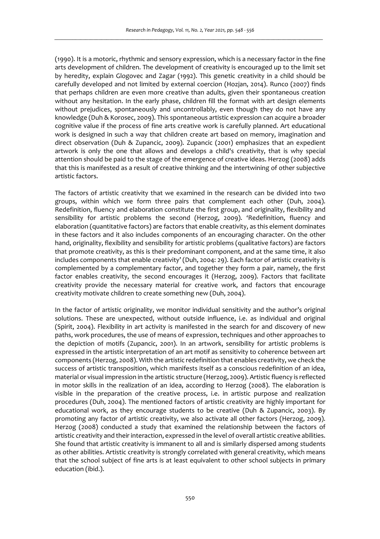(1990). It is a motoric, rhythmic and sensory expression, which is a necessary factor in the fine arts development of children. The development of creativity is encouraged up to the limit set by heredity, explain Glogovec and Zagar (1992). This genetic creativity in a child should be carefully developed and not limited by external coercion (Hozjan, 2014). Runco (2007) finds that perhaps children are even more creative than adults, given their spontaneous creation without any hesitation. In the early phase, children fill the format with art design elements without prejudices, spontaneously and uncontrollably, even though they do not have any knowledge (Duh & Korosec, 2009). This spontaneous artistic expression can acquire a broader cognitive value if the process of fine arts creative work is carefully planned. Art educational work is designed in such a way that children create art based on memory, imagination and direct observation (Duh & Zupancic, 2009). Zupancic (2001) emphasizes that an expedient artwork is only the one that allows and develops a child's creativity, that is why special attention should be paid to the stage of the emergence of creative ideas. Herzog (2008) adds that this is manifested as a result of creative thinking and the intertwining of other subjective artistic factors.

The factors of artistic creativity that we examined in the research can be divided into two groups, within which we form three pairs that complement each other (Duh, 2004). Redefinition, fluency and elaboration constitute the first group, and originality, flexibility and sensibility for artistic problems the second (Herzog, 2009). 'Redefinition, fluency and elaboration (quantitative factors) are factors that enable creativity, as this element dominates in these factors and it also includes components of an encouraging character. On the other hand, originality, flexibility and sensibility for artistic problems (qualitative factors) are factors that promote creativity, as this is their predominant component, and at the same time, it also includes components that enable creativity' (Duh, 2004: 29). Each factor of artistic creativity is complemented by a complementary factor, and together they form a pair, namely, the first factor enables creativity, the second encourages it (Herzog, 2009). Factors that facilitate creativity provide the necessary material for creative work, and factors that encourage creativity motivate children to create something new (Duh, 2004).

In the factor of artistic originality, we monitor individual sensitivity and the author's original solutions. These are unexpected, without outside influence, i.e. as individual and original (Spirit, 2004). Flexibility in art activity is manifested in the search for and discovery of new paths, work procedures, the use of means of expression, techniques and other approaches to the depiction of motifs (Zupancic, 2001). In an artwork, sensibility for artistic problems is expressed in the artistic interpretation of an art motif as sensitivity to coherence between art components (Herzog, 2008). With the artistic redefinition that enables creativity, we check the success of artistic transposition, which manifests itself as a conscious redefinition of an idea, material or visual impression in the artistic structure (Herzog, 2009). Artistic fluency is reflected in motor skills in the realization of an idea, according to Herzog (2008). The elaboration is visible in the preparation of the creative process, i.e. in artistic purpose and realization procedures (Duh, 2004). The mentioned factors of artistic creativity are highly important for educational work, as they encourage students to be creative (Duh & Zupancic, 2003). By promoting any factor of artistic creativity, we also activate all other factors (Herzog, 2009). Herzog (2008) conducted a study that examined the relationship between the factors of artistic creativity and their interaction, expressed in the level of overall artistic creative abilities. She found that artistic creativity is immanent to all and is similarly dispersed among students as other abilities. Artistic creativity is strongly correlated with general creativity, which means that the school subject of fine arts is at least equivalent to other school subjects in primary education (ibid.).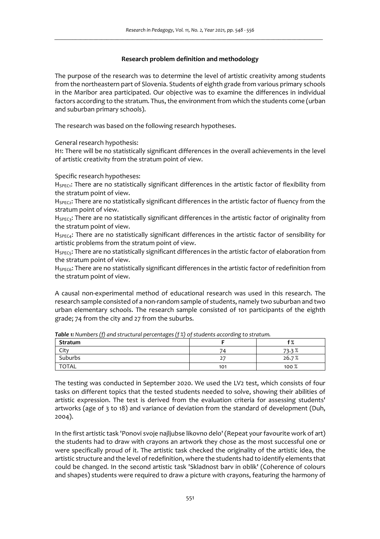# **Research problem definition and methodology**

The purpose of the research was to determine the level of artistic creativity among students from the northeastern part of Slovenia. Students of eighth grade from various primary schools in the Maribor area participated. Our objective was to examine the differences in individual factors according to the stratum. Thus, the environment from which the students come (urban and suburban primary schools).

The research was based on the following research hypotheses.

General research hypothesis:

H1: There will be no statistically significant differences in the overall achievements in the level of artistic creativity from the stratum point of view.

Specific research hypotheses:

H<sub>SPEC1</sub>: There are no statistically significant differences in the artistic factor of flexibility from the stratum point of view.

 $H_{\text{SPEC}}$ : There are no statistically significant differences in the artistic factor of fluency from the stratum point of view.

H<sub>SPEC3</sub>: There are no statistically significant differences in the artistic factor of originality from the stratum point of view.

 $H_{SPTC4}$ : There are no statistically significant differences in the artistic factor of sensibility for artistic problems from the stratum point of view.

H<sub>SPEC5</sub>: There are no statistically significant differences in the artistic factor of elaboration from the stratum point of view.

H<sub>SPEC6</sub>: There are no statistically significant differences in the artistic factor of redefinition from the stratum point of view.

A causal non-experimental method of educational research was used in this research. The research sample consisted of a non-random sample of students, namely two suburban and two urban elementary schools. The research sample consisted of 101 participants of the eighth grade; 74 from the city and 27 from the suburbs.

| <b>Table 1.</b> Harlbers (1) and served at percentages (1%) of statenes according to structure |     |         |  |  |  |  |  |  |
|------------------------------------------------------------------------------------------------|-----|---------|--|--|--|--|--|--|
| Stratum                                                                                        |     |         |  |  |  |  |  |  |
| City                                                                                           | 74  | 73.3%   |  |  |  |  |  |  |
| Suburbs                                                                                        | 27  | 26.7%   |  |  |  |  |  |  |
| <b>TOTAL</b>                                                                                   | 101 | $100\%$ |  |  |  |  |  |  |

*Table 1: Numbers (f) and structural percentages (f %) of students according to stratum.* 

The testing was conducted in September 2020. We used the LV2 test, which consists of four tasks on different topics that the tested students needed to solve, showing their abilities of artistic expression. The test is derived from the evaluation criteria for assessing students' artworks (age of 3 to 18) and variance of deviation from the standard of development (Duh, 2004).

In the first artistic task 'Ponovi svoje najljubse likovno delo' (Repeat your favourite work of art) the students had to draw with crayons an artwork they chose as the most successful one or were specifically proud of it. The artistic task checked the originality of the artistic idea, the artistic structure and the level of redefinition, where the students had to identify elements that could be changed. In the second artistic task 'Skladnost barv in oblik' (Coherence of colours and shapes) students were required to draw a picture with crayons, featuring the harmony of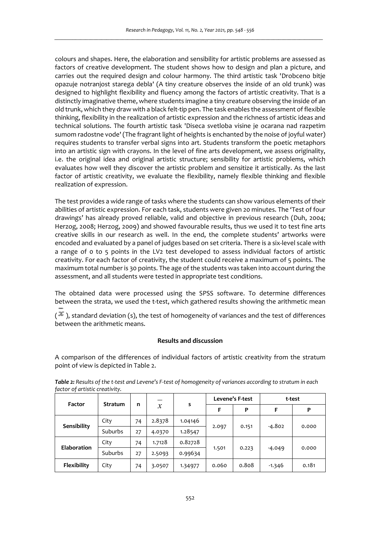colours and shapes. Here, the elaboration and sensibility for artistic problems are assessed as factors of creative development. The student shows how to design and plan a picture, and carries out the required design and colour harmony. The third artistic task 'Drobceno bitje opazuje notranjost starega debla' (A tiny creature observes the inside of an old trunk) was designed to highlight flexibility and fluency among the factors of artistic creativity. That is a distinctly imaginative theme, where students imagine a tiny creature observing the inside of an old trunk, which they draw with a black felt-tip pen. The task enables the assessment of flexible thinking, flexibility in the realization of artistic expression and the richness of artistic ideas and technical solutions. The fourth artistic task 'Diseca svetloba visine je ocarana nad razpetim sumom radostne vode' (The fragrant light of heights is enchanted by the noise of joyful water) requires students to transfer verbal signs into art. Students transform the poetic metaphors into an artistic sign with crayons. In the level of fine arts development, we assess originality, i.e. the original idea and original artistic structure; sensibility for artistic problems, which evaluates how well they discover the artistic problem and sensitize it artistically. As the last factor of artistic creativity, we evaluate the flexibility, namely flexible thinking and flexible realization of expression.

The test provides a wide range of tasks where the students can show various elements of their abilities of artistic expression. For each task, students were given 20 minutes. The 'Test of four drawings' has already proved reliable, valid and objective in previous research (Duh, 2004; Herzog, 2008; Herzog, 2009) and showed favourable results, thus we used it to test fine arts creative skills in our research as well. In the end, the complete students' artworks were encoded and evaluated by a panel of judges based on set criteria. There is a six-level scale with a range of 0 to 5 points in the LV2 test developed to assess individual factors of artistic creativity. For each factor of creativity, the student could receive a maximum of 5 points. The maximum total number is 30 points. The age of the students was taken into account during the assessment, and all students were tested in appropriate test conditions.

The obtained data were processed using the SPSS software. To determine differences between the strata, we used the t-test, which gathered results showing the arithmetic mean

 $(*\ast)$ , standard deviation (s), the test of homogeneity of variances and the test of differences between the arithmetic means.

# **Results and discussion**

A comparison of the differences of individual factors of artistic creativity from the stratum point of view is depicted in Table 2.

|                    |                |    |               | s       | Levene's F-test |       | t-test   |       |
|--------------------|----------------|----|---------------|---------|-----------------|-------|----------|-------|
| Factor             | <b>Stratum</b> | n  | $\mathcal{X}$ |         |                 | P     | F        | P     |
| Sensibility        | City           | 74 | 2.8378        | 1.04146 |                 | 0.151 | $-4.802$ | 0.000 |
|                    | Suburbs        | 27 | 4.0370        | 1.28547 | 2.097           |       |          |       |
| <b>Elaboration</b> | City           | 74 | 1.7128        | 0.82728 |                 | 0.223 | $-4.049$ | 0.000 |
|                    | Suburbs        | 27 | 2.5093        | 0.99634 | 1.501           |       |          |       |
| Flexibility        | City           | 74 | 3.0507        | 1.34977 | 0.060           | 0.808 | $-1.346$ | 0.181 |

*Table 2: Results of the t-test and Levene's F-test of homogeneity of variances according to stratum in each factor of artistic creativity.*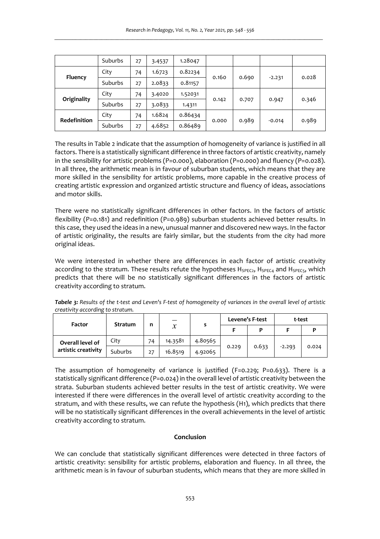|                     | Suburbs | 27 | 3.4537 | 1.28047 |       |       |          |       |
|---------------------|---------|----|--------|---------|-------|-------|----------|-------|
| Fluency             | City    | 74 | 1.6723 | 0.82234 | 0.160 | 0.690 | $-2.231$ | 0.028 |
|                     | Suburbs | 27 | 2.0833 | 0.81157 |       |       |          |       |
| Originality         | City    | 74 | 3.4020 | 1.52031 |       | 0.707 | 0.947    | 0.346 |
|                     | Suburbs | 27 | 3.0833 | 1.4311  | 0.142 |       |          |       |
| <b>Redefinition</b> | City    | 74 | 1.6824 | 0.86434 |       | 0.989 | $-0.014$ | 0.989 |
|                     | Suburbs | 27 | 4.6852 | 0.86489 | 0.000 |       |          |       |

The results in Table 2 indicate that the assumption of homogeneity of variance is justified in all factors. There is a statistically significant difference in three factors of artistic creativity, namely in the sensibility for artistic problems (P=0.000), elaboration (P=0.000) and fluency (P=0.028). In all three, the arithmetic mean is in favour of suburban students, which means that they are more skilled in the sensibility for artistic problems, more capable in the creative process of creating artistic expression and organized artistic structure and fluency of ideas, associations and motor skills.

There were no statistically significant differences in other factors. In the factors of artistic flexibility (P=0.181) and redefinition (P=0.989) suburban students achieved better results. In this case, they used the ideas in a new, unusual manner and discovered new ways. In the factor of artistic originality, the results are fairly similar, but the students from the city had more original ideas.

We were interested in whether there are differences in each factor of artistic creativity according to the stratum. These results refute the hypotheses  $H_{SPEC4}$ ,  $H_{SPEC4}$  and  $H_{SPEC5}$ , which predicts that there will be no statistically significant differences in the factors of artistic creativity according to stratum.

| Tabele 3: Results of the t-test and Leven's F-test of homogeneity of variances in the overall level of artistic |  |
|-----------------------------------------------------------------------------------------------------------------|--|
| creativity according to stratum.                                                                                |  |

| Factor                                  | Stratum | n  | $\mathcal{X}$ |         | Levene's F-test |       | t-test   |       |
|-----------------------------------------|---------|----|---------------|---------|-----------------|-------|----------|-------|
|                                         |         |    |               |         |                 |       |          |       |
| Overall level of<br>artistic creativity | City    | 74 | 14.3581       | 4.80565 |                 | 0.633 | $-2.293$ | 0.024 |
|                                         | Suburbs | 27 | 16.8519       | 4.92065 | 0.229           |       |          |       |

The assumption of homogeneity of variance is justified  $(F=0.229; P=0.633)$ . There is a statistically significant difference (P=0.024) in the overall level of artistic creativity between the strata. Suburban students achieved better results in the test of artistic creativity. We were interested if there were differences in the overall level of artistic creativity according to the stratum, and with these results, we can refute the hypothesis (H1), which predicts that there will be no statistically significant differences in the overall achievements in the level of artistic creativity according to stratum.

# **Conclusion**

We can conclude that statistically significant differences were detected in three factors of artistic creativity: sensibility for artistic problems, elaboration and fluency. In all three, the arithmetic mean is in favour of suburban students, which means that they are more skilled in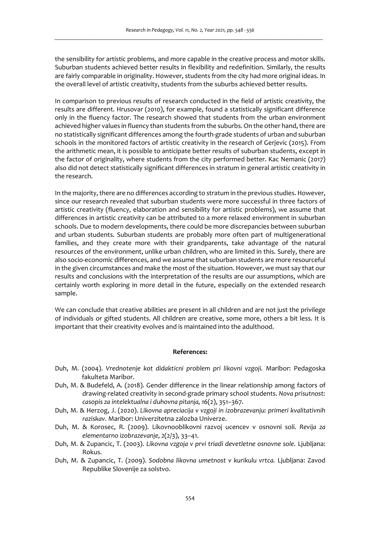the sensibility for artistic problems, and more capable in the creative process and motor skills. Suburban students achieved better results in flexibility and redefinition. Similarly, the results are fairly comparable in originality. However, students from the city had more original ideas. In the overall level of artistic creativity, students from the suburbs achieved better results.

In comparison to previous results of research conducted in the field of artistic creativity, the results are different. Hrusovar (2010), for example, found a statistically significant difference only in the fluency factor. The research showed that students from the urban environment achieved higher values in fluency than students from the suburbs. On the other hand, there are no statistically significant differences among the fourth-grade students of urban and suburban schools in the monitored factors of artistic creativity in the research of Gerjevic (2015). From the arithmetic mean, it is possible to anticipate better results of suburban students, except in the factor of originality, where students from the city performed better. Kac Nemanic (2017) also did not detect statistically significant differences in stratum in general artistic creativity in the research.

In the majority, there are no differences according to stratum in the previous studies. However, since our research revealed that suburban students were more successful in three factors of artistic creativity (fluency, elaboration and sensibility for artistic problems), we assume that differences in artistic creativity can be attributed to a more relaxed environment in suburban schools. Due to modern developments, there could be more discrepancies between suburban and urban students. Suburban students are probably more often part of multigenerational families, and they create more with their grandparents, take advantage of the natural resources of the environment, unlike urban children, who are limited in this. Surely, there are also socio-economic differences, and we assume that suburban students are more resourceful in the given circumstances and make the most of the situation. However, we must say that our results and conclusions with the interpretation of the results are our assumptions, which are certainly worth exploring in more detail in the future, especially on the extended research sample.

We can conclude that creative abilities are present in all children and are not just the privilege of individuals or gifted students. All children are creative, some more, others a bit less. It is important that their creativity evolves and is maintained into the adulthood.

### **References:**

- Duh, M. (2004). *Vrednotenje kot didakticni problem pri likovni vzgoji.* Maribor: Pedagoska fakulteta Maribor.
- Duh, M. & Budefeld, A. (2018). Gender difference in the linear relationship among factors of drawing-related creativity in second-grade primary school students. *Nova prisutnost: casopis za intelektualna i duhovna pitanja, 16*(2), 351–367.
- Duh, M. & Herzog, J. (2020). *Likovna apreciacija v vzgoji in izobrazevanju: primeri kvalitativnih raziskav.* Maribor: Univerzitetna zalozba Univerze.
- Duh, M. & Korosec, R. (2009). Likovnooblikovni razvoj ucencev v osnovni soli. *Revija za elementarno izobrazevanje, 2*(2/3), 33–41.
- Duh, M. & Zupancic, T. (2003). *Likovna vzgoja v prvi triadi devetletne osnovne sole.* Ljubljana: Rokus.
- Duh, M. & Zupancic, T. (2009). *Sodobna likovna umetnost v kurikulu vrtca.* Ljubljana: Zavod Republike Slovenije za solstvo.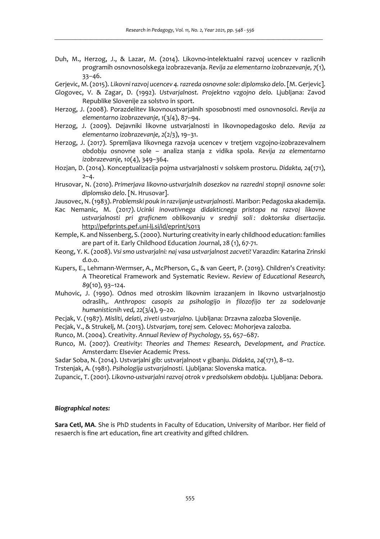- Duh, M., Herzog, J., & Lazar, M. (2014). Likovno-intelektualni razvoj ucencev v razlicnih programih osnovnosolskega izobrazevanja. *Revija za elementarno izobrazevanje, 7*(1), 33–46.
- Gerjevic, M. (2015). *Likovni razvoj ucencev 4. razreda osnovne sole: diplomsko delo*. [M. Gerjevic].
- Glogovec, V. & Zagar, D. (1992). *Ustvarjalnost. Projektno vzgojno delo.* Ljubljana: Zavod Republike Slovenije za solstvo in sport.
- Herzog, J. (2008). Porazdelitev likovnoustvarjalnih sposobnosti med osnovnosolci. *Revija za elementarno izobrazevanje, 1*(3/4), 87–94.
- Herzog, J. (2009). Dejavniki likovne ustvarjalnosti in likovnopedagosko delo. *Revija za elementarno izobrazevanje, 2*(2/3), 19–31.
- Herzog, J. (2017). Spremljava likovnega razvoja ucencev v tretjem vzgojno-izobrazevalnem obdobju osnovne sole – analiza stanja z vidika spola. *Revija za elementarno izobrazevanje, 10*(4), 349–364.
- Hozjan, D. (2014). Konceptualizacija pojma ustvarjalnosti v solskem prostoru. *Didakta, 24*(171),  $2 - 4.$
- Hrusovar, N. (2010). *Primerjava likovno-ustvarjalnih dosezkov na razredni stopnji osnovne sole: diplomsko delo*. [N. Hrusovar].
- Jausovec, N. (1983). *Problemski pouk in razvijanje ustvarjalnosti.* Maribor: Pedagoska akademija.
- Kac Nemanic, M. (2017). *Ucinki inovativnega didakticnega pristopa na razvoj likovne ustvarjalnosti pri graficnem oblikovanju v srednji soli : doktorska disertacija*. http://pefprints.pef.uni-lj.si/id/eprint/5013
- Kemple, K. and Nissenberg, S. (2000). Nurturing creativity in early childhood education: families are part of it. Early Childhood Education Journal, 28 (1), 67-71.
- Keong, Y. K. (2008). *Vsi smo ustvarjalni: naj vasa ustvarjalnost zacveti!* Varazdin: Katarina Zrinski d.o.o.
- Kupers, E., Lehmann-Wermser, A., McPherson, G., & van Geert, P. (2019). Children's Creativity: A Theoretical Framework and Systematic Review. *Review of Educational Research, 89*(10), 93–124.
- Muhovic, J. (1990). Odnos med otroskim likovnim izrazanjem in likovno ustvarjalnostjo odraslih,. *Anthropos: casopis za psihologijo in filozofijo ter za sodelovanje humanisticnih ved, 22*(3/4), 9–20.
- Pecjak, V. (1987). *Misliti, delati, ziveti ustvarjalno.* Ljubljana: Drzavna zalozba Slovenije.
- Pecjak, V., & Strukelj, M. (2013). *Ustvarjam, torej sem.* Celovec: Mohorjeva zalozba.
- Runco, M. (2004). Creativity. *Annual Review of Psychology, 55*, 657–687.
- Runco, M. (2007). *Creativity: Theories and Themes: Research, Development, and Practice.* Amsterdam: Elsevier Academic Press.
- Sadar Soba, N. (2014). Ustvarjalni gib: ustvarjalnost v gibanju. *Didakta, 24*(171), 8–12.
- Trstenjak, A. (1981). *Psihologija ustvarjalnosti.* Ljubljana: Slovenska matica.
- Zupancic, T. (2001). *Likovno-ustvarjalni razvoj otrok v predsolskem obdobju.* Ljubljana: Debora.

### *Biographical notes:*

**Sara Cetl, MA**. She is PhD students in Faculty of Education, University of Maribor. Her field of resaerch is fine art education, fine art creativity and gifted children.